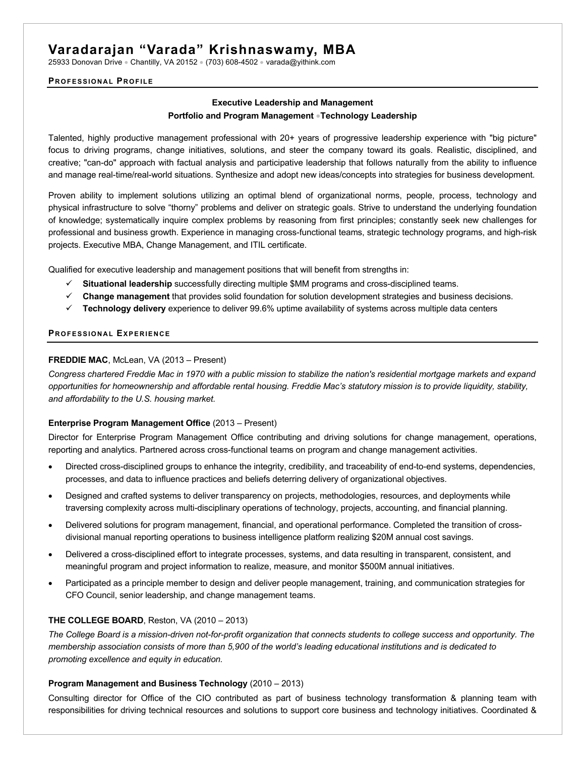# **Varadarajan "Varada" Krishnaswamy, MBA**

25933 Donovan Drive • Chantilly, VA 20152 • (703) 608-4502 • varada@yithink.com

#### **PROFESSIONAL PROFILE**

# **Executive Leadership and Management Portfolio and Program Management** •**Technology Leadership**

Talented, highly productive management professional with 20+ years of progressive leadership experience with "big picture" focus to driving programs, change initiatives, solutions, and steer the company toward its goals. Realistic, disciplined, and creative; "can-do" approach with factual analysis and participative leadership that follows naturally from the ability to influence and manage real-time/real-world situations. Synthesize and adopt new ideas/concepts into strategies for business development.

Proven ability to implement solutions utilizing an optimal blend of organizational norms, people, process, technology and physical infrastructure to solve "thorny" problems and deliver on strategic goals. Strive to understand the underlying foundation of knowledge; systematically inquire complex problems by reasoning from first principles; constantly seek new challenges for professional and business growth. Experience in managing cross-functional teams, strategic technology programs, and high-risk projects. Executive MBA, Change Management, and ITIL certificate.

Qualified for executive leadership and management positions that will benefit from strengths in:

- ü **Situational leadership** successfully directing multiple \$MM programs and cross-disciplined teams.
- $\checkmark$  Change management that provides solid foundation for solution development strategies and business decisions.
- ü **Technology delivery** experience to deliver 99.6% uptime availability of systems across multiple data centers

#### **PROFESSIONAL EXPERIENCE**

### **FREDDIE MAC**, McLean, VA (2013 – Present)

*Congress chartered Freddie Mac in 1970 with a public mission to stabilize the nation's residential mortgage markets and expand opportunities for homeownership and affordable rental housing. Freddie Mac's statutory mission is to provide liquidity, stability, and affordability to the U.S. housing market.*

## **Enterprise Program Management Office** (2013 – Present)

Director for Enterprise Program Management Office contributing and driving solutions for change management, operations, reporting and analytics. Partnered across cross-functional teams on program and change management activities.

- Directed cross-disciplined groups to enhance the integrity, credibility, and traceability of end-to-end systems, dependencies, processes, and data to influence practices and beliefs deterring delivery of organizational objectives.
- Designed and crafted systems to deliver transparency on projects, methodologies, resources, and deployments while traversing complexity across multi-disciplinary operations of technology, projects, accounting, and financial planning.
- Delivered solutions for program management, financial, and operational performance. Completed the transition of crossdivisional manual reporting operations to business intelligence platform realizing \$20M annual cost savings.
- Delivered a cross-disciplined effort to integrate processes, systems, and data resulting in transparent, consistent, and meaningful program and project information to realize, measure, and monitor \$500M annual initiatives.
- Participated as a principle member to design and deliver people management, training, and communication strategies for CFO Council, senior leadership, and change management teams.

## **THE COLLEGE BOARD**, Reston, VA (2010 – 2013)

*The College Board is a mission-driven not-for-profit organization that connects students to college success and opportunity. The membership association consists of more than 5,900 of the world's leading educational institutions and is dedicated to promoting excellence and equity in education.* 

#### **Program Management and Business Technology** (2010 – 2013)

Consulting director for Office of the CIO contributed as part of business technology transformation & planning team with responsibilities for driving technical resources and solutions to support core business and technology initiatives. Coordinated &